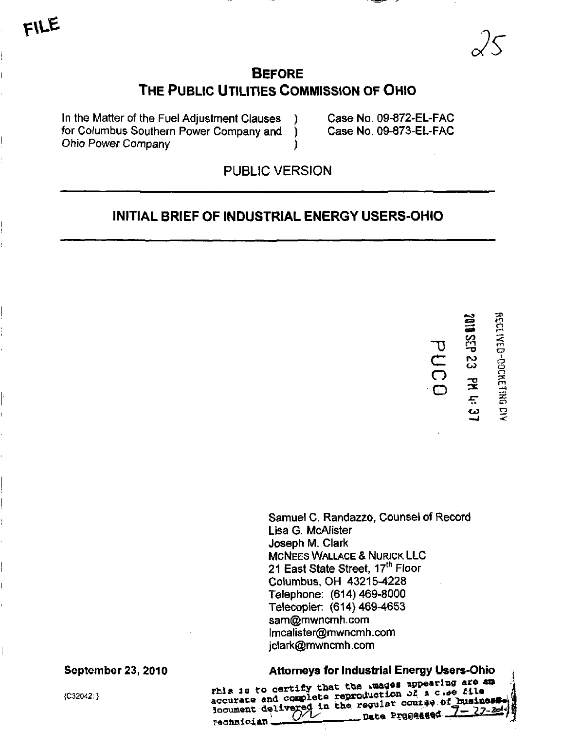

# **BEFORE** THE PUBLIC UTILITIES COMMISSION OF OHIO

In the Matter of the Fuel Adjustment Clauses ) Case No. 09-872-EL-FAC for Columbus Southern Power Company and ) Case No. 09-873-EL-FAC Ohio Power Company )

PUBLIC VERSION

# INITIAL BRIEF OF INDUSTRIAL ENERGY USERS-OHIO

**essex** 

ျ<br>လ<br>ပ

•T3

 $\sqsubset$ O o

Samuel C. Randazzo, Counsel of Record Lisa G. McAlister Joseph M. Clark **MCNEES WALLACE & NURICK LLC** 21 East State Street, 17<sup>th</sup> Floor Columbus, OH 43215-4228 Telephone: (614)469-8000 Telecopier: (614)469-4653 [sam@mwncmh.com](mailto:sam@mwncmh.com)  [lmcalister@mwncmh.com](mailto:lmcalister@mwncmh.com)  jclark@mwncmh. com

September 23, 2010 **Attorneys for Industrial Energy Users-Ohio**<br> **Example 23, 2010 Represent the Constitution of the Constitution of the Constitution of the Constitution of the Constitution of the Constitution of the Con** (C32042:)<br>accurace and complete reproduction of a cwe file<br>document delivered in the regular courage of business Technician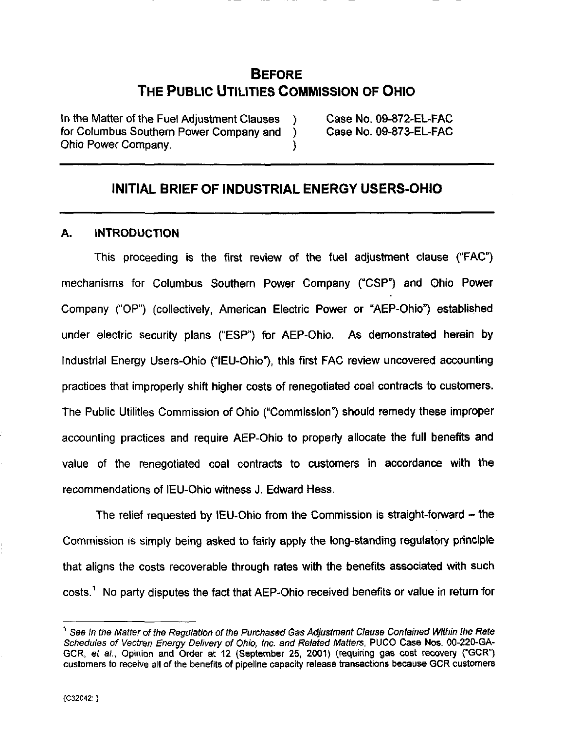# BEFORE THE PUBLIC UTILITIES COMMISSION OF OHIO

In the Matter of the Fuel Adjustment Clauses ) Case No. 09-872-EL-FAC for Columbus Southern Power Company and ) Case No. 09-873-EL-FAC Ohio Power Company. )

# INITIAL BRIEF OF INDUSTRIAL ENERGY USERS-OHIO

#### A. INTRODUCTION

This proceeding is the first review of the fuel adjustment clause ("FAC") mechanisms for Columbus Southern Power Company ("CSP") and Ohio Power Company ("OP") (collectively, American Electric Power or "AEP-Ohio") established under electric security plans ("ESP") for AEP-Ohio. As demonstrated herein by Industrial Energy Users-Ohio ("lEU-Ohio"), this first FAC review uncovered accounting practices that improperly shift higher costs of renegotiated coal contracts to customers. The Public Utilities Commission of Ohio ("Commission") should remedy these improper accounting practices and require AEP-Ohio to properly allocate the full benefits and value of the renegotiated coal contracts to customers in accordance with the recommendations of lEU-Ohio witness J. Edward Hess.

The relief requested by IEU-Ohio from the Commission is straight-forward – the Commission is simply being asked to fairly apply the long-standing regulatory principle that aligns the costs recoverable through rates with the benefits associated with such costs.<sup>1</sup> No party disputes the fact that AEP-Ohio received benefits or value in return for

<sup>&</sup>quot;\* See In the Matter of the Regulation of the Purchased Gas Adjustment Clause Contained Within the Rate Schedules of Vectren Energy Delivery of Ohio, Inc. and Related Matters, PUCO Case Nos. 00-220-GA-GCR, et al., Opinion and Order at 12 (September 25, 2001) (requiring gas cost recovery ("GCR") customers to receive all of the benefits of pipeline capacity release transactions because GCR customers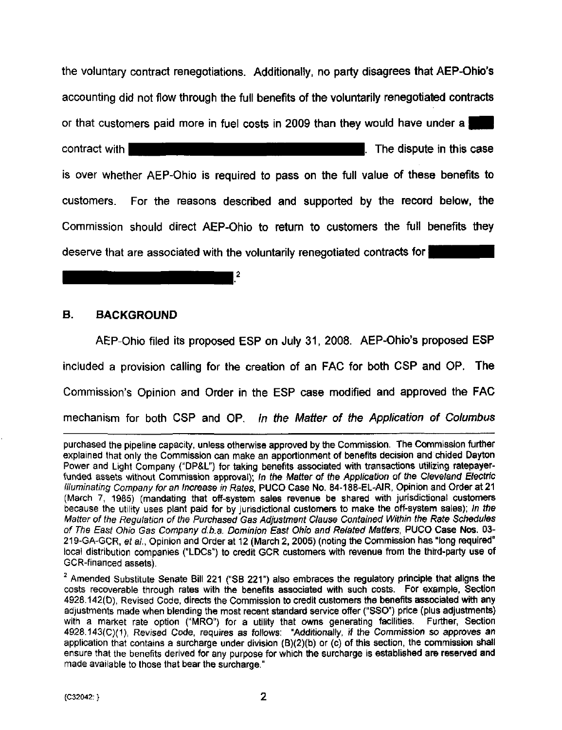the voluntary contract renegotiations. Additionally, no party disagrees that AEP-Ohio's accounting did not flow through the full benefits of the voluntarily renegotiated contracts or that customers paid more in fuel costs in 2009 than they would have under a while the HHIIII is the HHIIII in this case in this case in this case in this case. is over whether AEP-Ohio is required to pass on the full value of these benefits to customers. For the reasons described and supported by the record below, the Commission should direct AEP-Ohio to retum to customers the full benefits they deserve that are associated with the voluntarily renegotiated contracts for

#### B. BACKGROUND

AEP-Ohio filed its proposed ESP on July 31, 2008. AEP-Ohio's proposed ESP included a provision calling for the creation of an FAC for both CSP and OP. The Commission's Opinion and Order in the ESP case modified and approved the FAC mechanism for both CSP and OP. In the Matter of the Application of Columbus

 $\sqrt{2}$ 

purchased the pipeline capacity, unless othenwise approved by the Commission. The Commission further explained that only the Commission can make an apportionment of benefits decision and chided Dayton Power and Light Company ("DP&L") for taking benefits associated with transactions utilizing ratepayerfunded assets without Commission approval); In the Matter of the Application of the Cleveland Electric Illuminating Company for an Increase in Rates, PUCO Case No. 84-188-EL-AIR, Opinion and Order at 21 (March 7, 1985) (mandating that off-system sales revenue be shared with jurisdictional customers because the utility uses plant paid for by jurisdictional customers to make the off-system sales); In the Matter of the Regulation of the Purchased Gas Adjustment Clause Contained Within the Rate Schedules of The East Ohio Gas Company d.b.a. Dominion East Ohio and Related Matters, PUCO Case Nos. 03-219-GA-GCR, et al., Opinion and Order at 12 (March 2, 2005) (noting the Commission has "long required" local distribution companies ("LDCs") to credit GCR customers with revenue from the third-party use of GCR-financed assets).

 $2$  Amended Substitute Senate Bill 221 ("SB 221") also embraces the regulatory principle that aligns the costs recoverable through rates with the benefits associated with such costs. For example, Section 4928.142(D), Revised Code, directs the Commission to credit customers the benefits associated with any adjustments made when blending the most recent standard service offer ("SSO") price (plus adjustments) with a market rate option ("MRO") for a utility that owns generating facilities. Further, Section 4928.143(C)(1), Revised Code, requires as follows: "Additionally, if the Commission so approves an application that contains a surcharge under division (B)(2)(b) or (c) of this section, the commission shall ensure that the benefits derived for any purpose for which the surcharge is established are reserved and made available to those that bear the surcharge."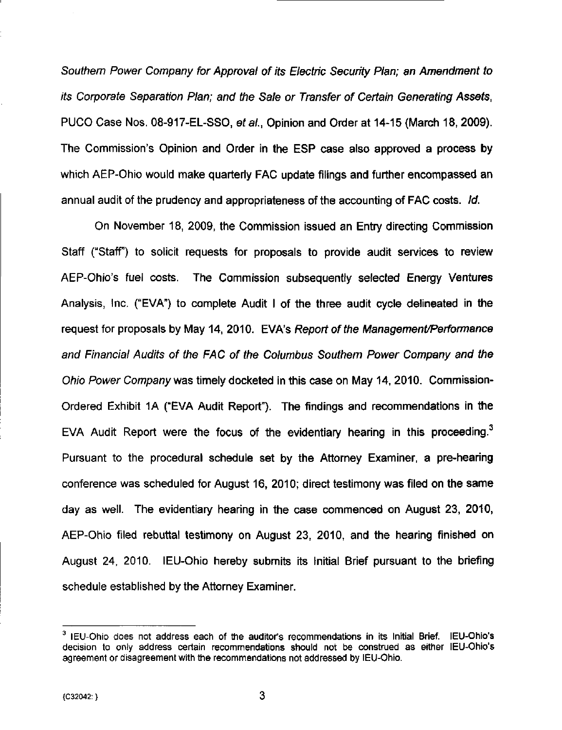Southern Power Company for Approval of its Electric Security Plan; an Amendment to its Corporate Separation Plan; and the Sale or Transfer of Certain Generating Assets, PUCO Case Nos. 08-917-EL-SSO, et al., Opinion and Order at 14-15 (March 18, 2009). The Commission's Opinion and Order in the ESP case also approved a process by which AEP-Ohio would make quarterly FAC update filings and further encompassed an annual audit of the prudency and appropriateness of the accounting of FAC costs. Id.

On November 18, 2009, the Commission issued an Entry directing Commission Staff ("Staff") to solicit requests for proposals to provide audit services to review AEP-Ohio's fuel costs. The Commission subsequently selected Energy Ventures Analysis, Inc. ("EVA") to complete Audit I of the three audit cycle delineated in the request for proposals by May 14, 2010. EVA's Report of the Management/Performance and Financial Audits of the FAC of the Columbus Southern Power Company and the Ohio Power Company was timely docketed in this case on May 14, 2010. Commission-Ordered Exhibit 1A ("EVA Audit Report"). The findings and recommendations in the EVA Audit Report were the focus of the evidentiary hearing in this proceeding. $3$ Pursuant to the procedural schedule set by the Attorney Examiner, a pre-hearing conference was scheduled for August 16, 2010; direct testimony was filed on the same day as well. The evidentiary hearing in the case commenced on August 23, 2010, AEP-Ohio filed rebuttal testimony on August 23, 2010, and the hearing finished on August 24, 2010. lEU-Ohio hereby submits its Initial Brief pursuant to the briefing schedule established by the Attorney Examiner.

 $3$  IEU-Ohio does not address each of the auditor's recommendations in its Initial Brief. IEU-Ohio's decision to only address certain recommendations should not be construed as either lEU-Ohio's agreement or disagreement with the recommendations not addressed by lEU-Ohio.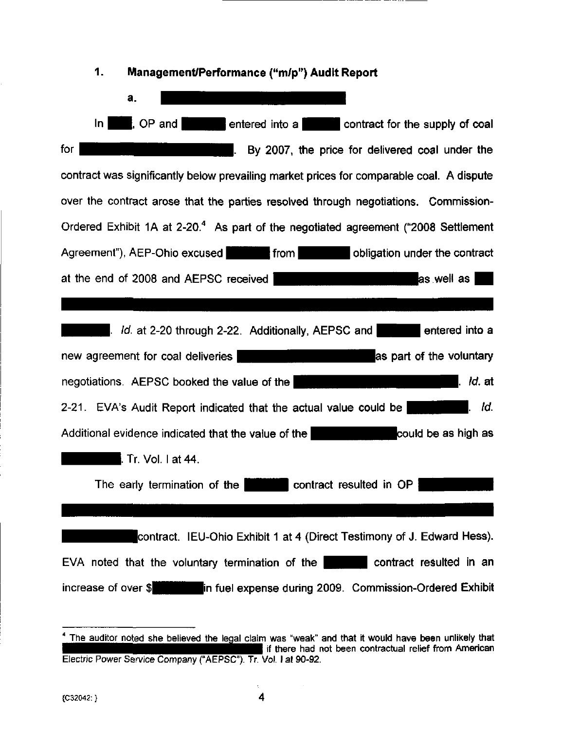

 $<sup>4</sup>$  The auditor noted she believed the legal claim was "weak" and that it would have been unlikely that</sup> If there had not been contractual relief from American Electric Power Service Company ("AEPSC"). Jr. Vol. I at 90-92.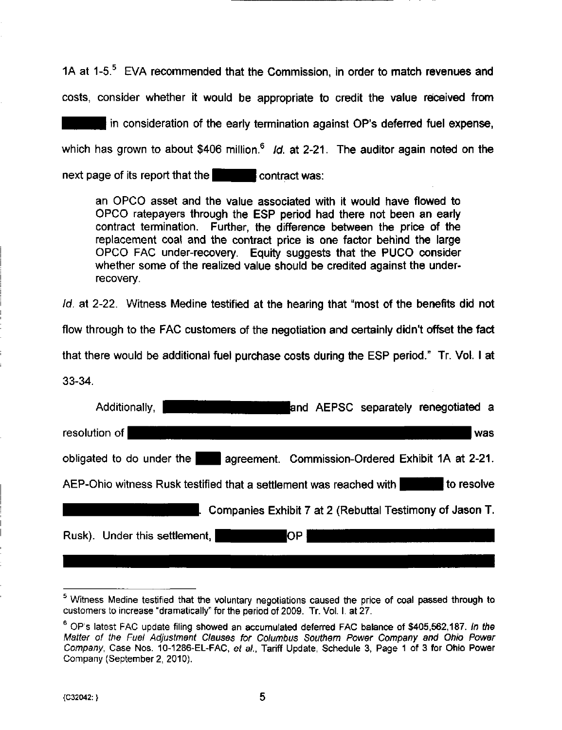1A at  $1-5$ .<sup>5</sup> EVA recommended that the Commission, in order to match revenues and costs, consider whether it would be appropriate to credit the value received from

in consideration of the early termination against OP's deferred fuel expense, which has grown to about \$406 million.<sup>6</sup> Id. at 2-21. The auditor again noted on the next page of its report that the  $\blacksquare$  contract was:

an OPCO asset and the value associated with it would have flowed to OPCO ratepayers through the ESP period had there not been an eariy contract termination. Further, the difference between the price of the replacement coal and the contract price is one factor behind the large OPCO FAC under-recovery. Equity suggests that the PUCO consider whether some of the realized value should be credited against the underrecovery.

Id. at 2-22. Witness Medine testified at the hearing that "most of the benefits did not

flow through to the FAC customers of the negotiation and certainly didn't offset the fact

that there would be additional fuel purchase costs during the ESP period." Tr. Vol. I at

33-34.

| and AEPSC separately renegotiated a<br>Additionally,                             |
|----------------------------------------------------------------------------------|
| resolution of<br>was                                                             |
| obligated to do under the<br>agreement. Commission-Ordered Exhibit 1A at 2-21.   |
| to resolve<br>AEP-Ohio witness Rusk testified that a settlement was reached with |
| Companies Exhibit 7 at 2 (Rebuttal Testimony of Jason T.                         |
| Rusk). Under this settlement,<br><b>OP</b>                                       |

<sup>&</sup>lt;sup>5</sup> Witness Medine testified that the voluntary negotiations caused the price of coal passed through to customers to increase "dramatically" for the period of 2009. Tr. Vol. 1. at 27.

 $^6$  OP's latest FAC update filing showed an accumulated deferred FAC balance of \$405,562,187. In the Matter of the Fuel Adjustment Clauses for Columbus Southern Power Company and Ohio Power Company, Case Nos. 10-1286-EL-FAC, et al., Tariff Update, Schedule 3, Page 1 of 3 for Ohio Power Company (September 2, 2010).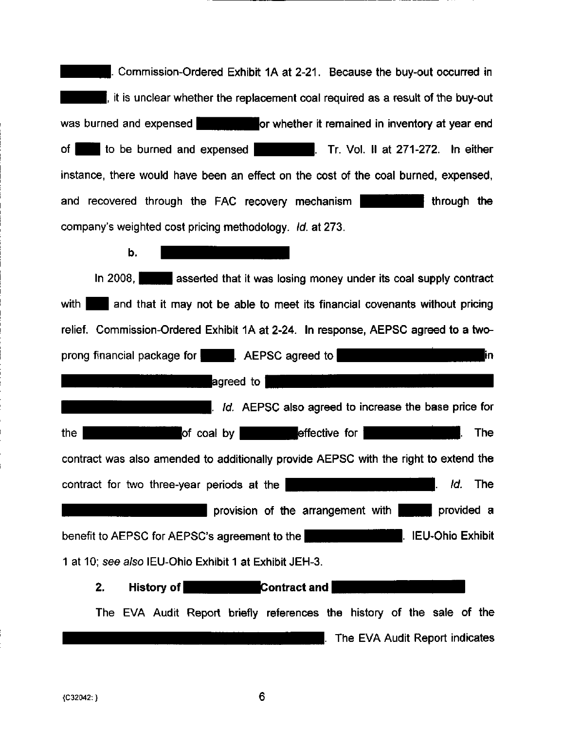. Commission-Ordered Exhibit 1A at 2-21. Because the buy-out occurred in it is unclear whether the replacement coal required as a result of the buy-out was burned and expensed **Here** it remained in inventory at year end of I ito be burned and expensed **Example 2014**. Tr. Vol. II at 271-272. In either instance, there would have been an effect on the cost of the coal burned, expensed, and recovered through the FAC recovery mechanism company's weighted cost pricing methodology. Id. at 273.

b.

In 2008,  $\blacksquare$  asserted that it was losing money under its coal supply contract with  $\blacksquare$  and that it may not be able to meet its financial covenants without pricing relief. Commission-Ordered Exhibit 1A at 2-24. In response, AEPSC agreed to a twoprong financial package for  $\blacksquare$  . AEPSC agreed to  $\blacksquare$  $\blacksquare$  and  $\blacksquare$   $\blacksquare$ . Id. AEPSC also agreed to increase the base price for the  $\blacksquare$  of coal by  $\blacksquare$  effective for  $\blacksquare$ **The** contract was also amended to additionally provide AEPSC with the right to extend the contract for two three-year periods at the  $\mathsf{H}$  -  $\mathsf{H}$  -  $\mathsf{H}$  - ' $\mathsf{H}$ '  $\mathsf{H}$ . The **Provision of the arrangement with**  $\blacksquare$  provided a benefit to AEPSC for AEPSC's agreement to the **Fig. 1996** . IEU-Ohio Exhibit 1 at 10; see also lEU-Ohio Exhibit 1 at Exhibit JEH-3.  $2.$ History of **AHHIII** Contract and **H** 

The EVA Audit Report briefly references the history of the sale of the The EVA Audit Report indicates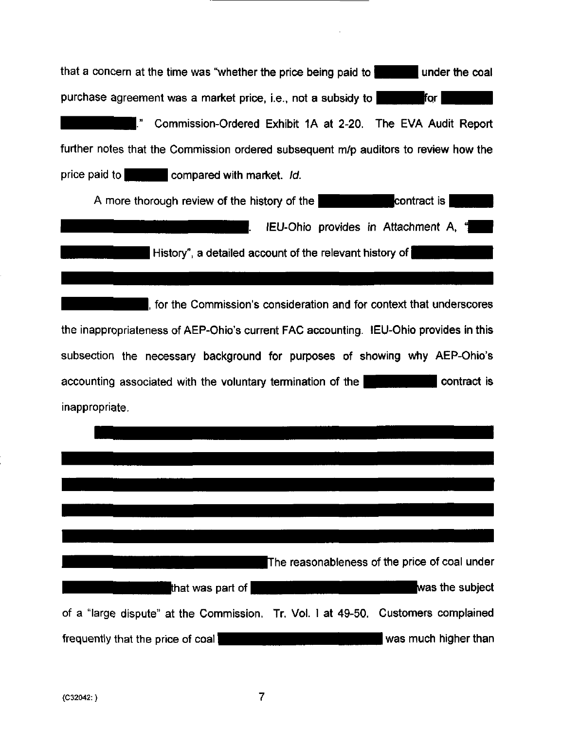| that a concern at the time was "whether the price being paid to                                                                                                                                                                      |
|--------------------------------------------------------------------------------------------------------------------------------------------------------------------------------------------------------------------------------------|
| purchase agreement was a market price, i.e., not a subsidy to <b>the state of the state of the state of the state of the state of the state of the state of the state of the state of the state of the state of the state of the</b> |
| ." Commission-Ordered Exhibit 1A at 2-20. The EVA Audit Report                                                                                                                                                                       |
| further notes that the Commission ordered subsequent m/p auditors to review how the                                                                                                                                                  |
| price paid to compared with market. Id.                                                                                                                                                                                              |
| A more thorough review of the history of the <b>contract</b> is                                                                                                                                                                      |
| IEU-Ohio provides in Attachment A, "                                                                                                                                                                                                 |
| History", a detailed account of the relevant history of                                                                                                                                                                              |
|                                                                                                                                                                                                                                      |
| , for the Commission's consideration and for context that underscores                                                                                                                                                                |
| the inappropriateness of AEP-Ohio's current FAC accounting. IEU-Ohio provides in this                                                                                                                                                |
| subsection the necessary background for purposes of showing why AEP-Ohio's                                                                                                                                                           |
| contract is<br>accounting associated with the voluntary termination of the                                                                                                                                                           |
| inappropriate.                                                                                                                                                                                                                       |
|                                                                                                                                                                                                                                      |
|                                                                                                                                                                                                                                      |
|                                                                                                                                                                                                                                      |
|                                                                                                                                                                                                                                      |
|                                                                                                                                                                                                                                      |
| The reasonableness of the price of coal under                                                                                                                                                                                        |
| was the subject<br>that was part of <b>s</b>                                                                                                                                                                                         |
| of a "large dispute" at the Commission. Tr. Vol. I at 49-50. Customers complained                                                                                                                                                    |
| was much higher than<br>frequently that the price of coal                                                                                                                                                                            |

 $\sim 10^{-10}$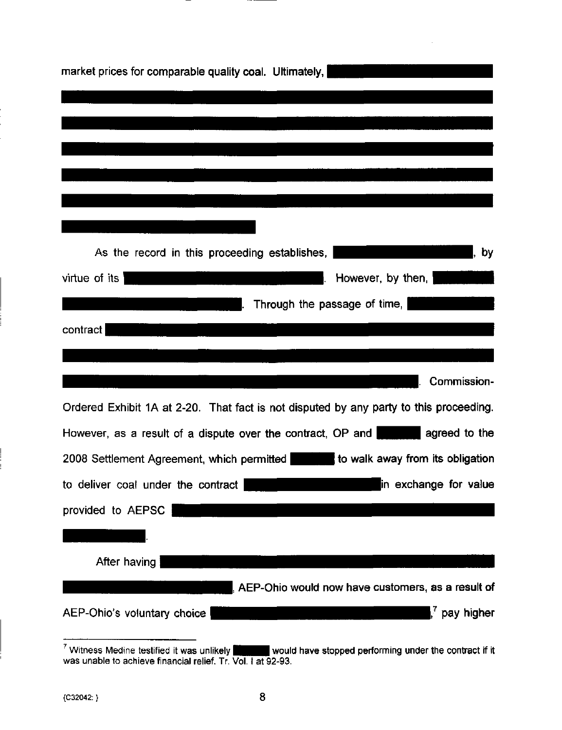| market prices for comparable quality coal. Ultimately,                                        |
|-----------------------------------------------------------------------------------------------|
|                                                                                               |
|                                                                                               |
|                                                                                               |
|                                                                                               |
|                                                                                               |
|                                                                                               |
| As the record in this proceeding establishes,<br>by                                           |
| virtue of its<br>However, by then,                                                            |
| Through the passage of time,                                                                  |
| contract                                                                                      |
|                                                                                               |
| Commission-                                                                                   |
| Ordered Exhibit 1A at 2-20. That fact is not disputed by any party to this proceeding.        |
| However, as a result of a dispute over the contract, OP and <b>the analysis agreed to the</b> |
| to walk away from its obligation<br>2008 Settlement Agreement, which permitted                |
| in exchange for value<br>to deliver coal under the contract                                   |
| provided to AEPSC                                                                             |
|                                                                                               |
| After having                                                                                  |
| AEP-Ohio would now have customers, as a result of                                             |
| $\mathsf{I}^7$ pay higher<br>AEP-Ohio's voluntary choice                                      |

 $\prime$  Witness Medine testified it was unlikely  $\phantom{H}$  would have stopped performing under the contract if it was unable to achieve financial relief. Tr. Vol. I at 92-93.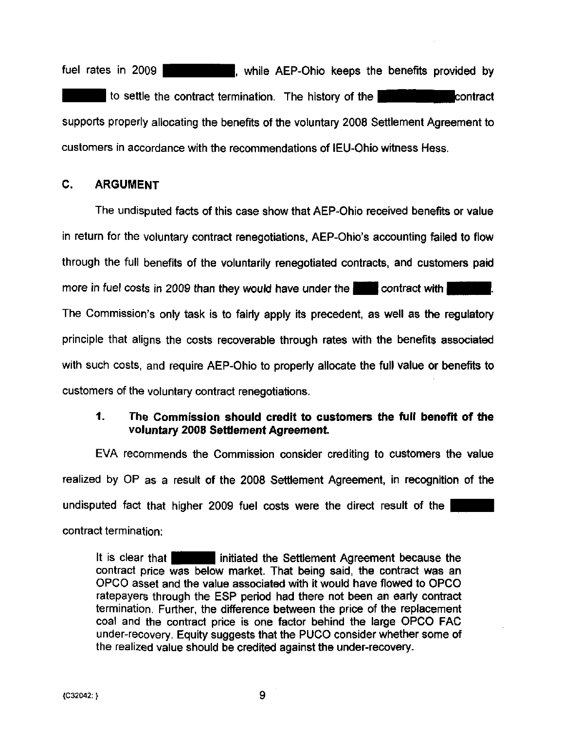fuel rates in 2009 **Figure 1. The Section AEP-Ohio keeps the benefits provided by to settle the contract termination.** The history of the **Europe Contract** contract supports properiy allocating the benefits of the voluntary 2008 Settlement Agreement to customers in accordance with the recommendations of lEU-Ohio witness Hess.

# 0. ARGUMENT

The undisputed facts of this case show that AEP-Ohio received benefits or value in return for the voluntary contract renegotiations, AEP-Ohio's accounting failed to flow through the full benefits of the voluntarily renegotiated contracts, and customers paid more in fuel costs in 2009 than they would have under the **••••** contract with • The Commission's only task is to fairly apply its precedent, as well as the regulatory principle that aligns the costs recoverable through rates with the benefits associated with such costs, and require AEP-Ohio to properly allocate the full value or benefits to customers of the voluntary contract renegotiations.

# 1. The Commission should credit to customers the full benefit of the voluntary 2008 Settlement Agreement.

EVA recommends the Commission consider crediting to customers the value realized by OP as a result of the 2008 Settlement Agreement, in recognition of the undisputed fact that higher 2009 fuel costs were the direct result of the contract termination:

It is clear that **I** initiated the Settlement Agreement because the contract price was below market. That being said, the contract was an OPCO asset and the value associated with it would have flowed to OPCO ratepayers through the ESP period had there not been an early contract termination. Further, the difference between the price of the replacement coal and the contract price is one factor behind the large OPCO FAC under-recovery. Equity suggests that the PUCO consider whether some of the realized value should be credited against the under-recovery.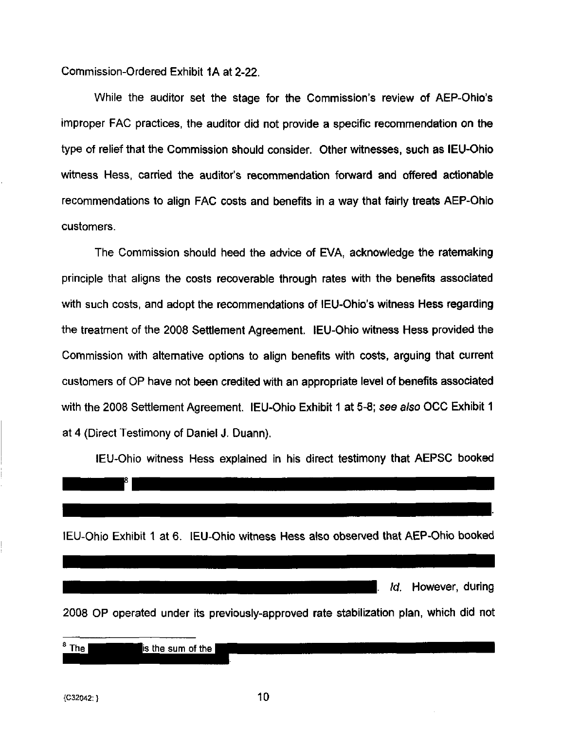Commission-Ordered Exhibit 1A at 2-22.

While the auditor set the stage for the Commission's review of AEP-Ohio's improper FAC practices, the auditor did not provide a specific recommendation on the type of relief that the Commission should consider. Other witnesses, such as lEU-Ohio witness Hess, carried the auditor's recommendation forward and offered actionable recommendations to align FAC costs and benefits in a way that fairly treats AEP-Ohio customers.

The Commission should heed the advice of EVA, acknowledge the ratemaking principle that aligns the costs recoverable through rates with the benefits associated with such costs, and adopt the recommendations of IEU-Ohio's witness Hess regarding the treatment of the 2008 Settlement Agreement. lEU-Ohio witness Hess provided the Commission with alternative options to align benefits with costs, arguing that current customers of OP have not been credited with an appropriate level of benefits associated with the 2008 Settlement Agreement. lEU-Ohio Exhibit 1 at 5-8; see also OCC Exhibit 1 at 4 (Direct Testimony of Daniel J. Duann).

lEU-Ohio witness Hess explained in his direct testimony that AEPSC booked



{G32042:} 10

<sup>¤</sup> ا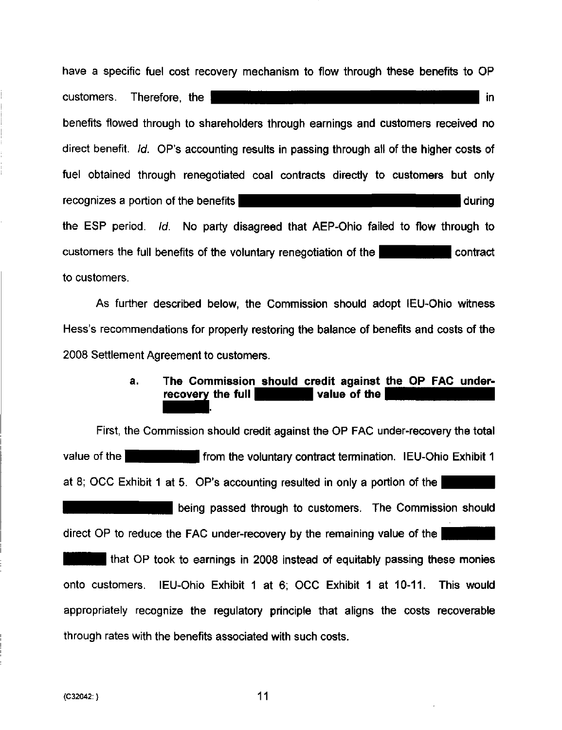have a specific fuel cost recovery mechanism to flow through these benefits to OP the **internal internal internal internal internal internal internal internal internal internal internal internal in** benefits flowed through to shareholders through earnings and customers received no direct benefit. Id. OP's accounting results in passing through ali of the higher costs of fuel obtained through renegotiated coal contracts directly to customers but only recognizes a portion of the benefits *interest and the series* during the ESP period. Id. No party disagreed that AEP-Ohio failed to flow through to customers the full benefits of the voluntary renegotiation of the to customers.

As further described below, the Commission should adopt lEU-Ohio witness Hess's recommendations for properly restoring the balance of benefits and costs of the 2008 Settlement Agreement to customers.

# a. The Commission should credit against the OP FAC underrecovery the full  $\blacksquare$  value of the

First, the Commission should credit against the OP FAC under-recovery the total value of the **High-High induced Figure 1** from the voluntary contract termination. IEU-Ohio Exhibit 1 at 8; OCC Exhibit 1 at 5. OP's accounting resulted in only a portion of the

being passed through to customers. The Commission should direct OP to reduce the FAC under-recovery by the remaining value of the

If that OP took to earnings in 2008 instead of equitably passing these monies onto customers. lEU-Ohio Exhibit 1 at 6; OCC Exhibit 1 at 10-11. This would appropriately recognize the regulatory principle that aligns the costs recoverable through rates with the benefits associated with such costs.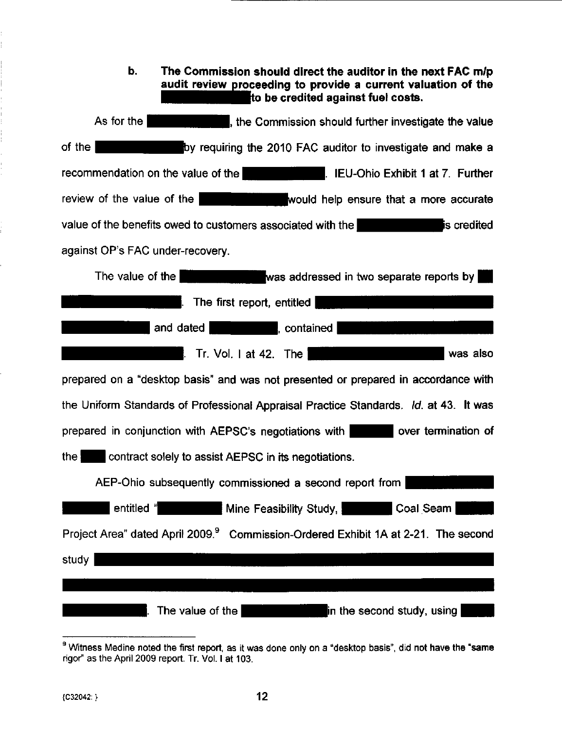| b.<br>The Commission should direct the auditor in the next FAC m/p<br>audit review proceeding to provide a current valuation of the<br>to be credited against fuel costs. |
|---------------------------------------------------------------------------------------------------------------------------------------------------------------------------|
| As for the<br>, the Commission should further investigate the value                                                                                                       |
| of the<br>by requiring the 2010 FAC auditor to investigate and make a                                                                                                     |
| recommendation on the value of the <b>Example 2018</b> . IEU-Ohio Exhibit 1 at 7. Further                                                                                 |
| review of the value of the<br>would help ensure that a more accurate                                                                                                      |
| value of the benefits owed to customers associated with the<br>is credited                                                                                                |
| against OP's FAC under-recovery.                                                                                                                                          |
| The value of the I<br>was addressed in two separate reports by                                                                                                            |
| The first report, entitled<br>I.                                                                                                                                          |
| <b>Example: 1999</b> , contained<br>and dated                                                                                                                             |
| <b>Example:</b> Tr. Vol. 1 at 42. The 1<br>l was also                                                                                                                     |
| prepared on a "desktop basis" and was not presented or prepared in accordance with                                                                                        |
| the Uniform Standards of Professional Appraisal Practice Standards. Id. at 43. It was                                                                                     |
| over termination of<br>prepared in conjunction with AEPSC's negotiations with                                                                                             |
| the $\vert$<br>contract solely to assist AEPSC in its negotiations.                                                                                                       |
| AEP-Ohio subsequently commissioned a second report from                                                                                                                   |
| entitled "<br>Coal Seam<br>Mine Feasibility Study,                                                                                                                        |
| Project Area" dated April 2009. <sup>9</sup> Commission-Ordered Exhibit 1A at 2-21. The second                                                                            |
| study                                                                                                                                                                     |
|                                                                                                                                                                           |
| The value of the<br>in the second study, using $\mid$                                                                                                                     |

ŗ. ļ.

Witness Medine noted the first report, as it was done only on a "desktop basis", did not have the "same rigor" as the April 2009 report. Tr. Vol. I at 103.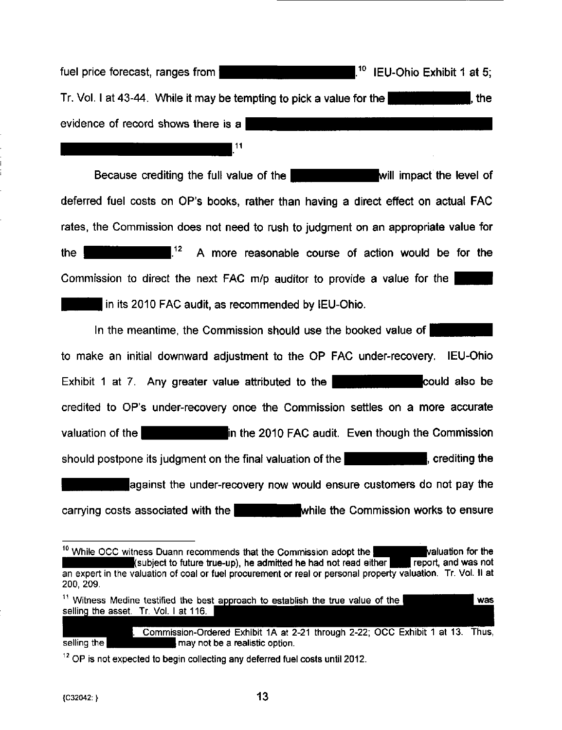fuel price forecast, ranges from  $\blacksquare$   $\blacksquare$   $\blacksquare$   $\blacksquare$   $\blacksquare$   $\blacksquare$   $\blacksquare$   $\blacksquare$   $\blacksquare$   $\blacksquare$   $\blacksquare$   $\blacksquare$   $\blacksquare$   $\blacksquare$   $\blacksquare$   $\blacksquare$   $\blacksquare$   $\blacksquare$   $\blacksquare$   $\blacksquare$   $\blacksquare$   $\blacksquare$   $\blacksquare$   $\blacksquare$   $\blacksquare$   $\blacksquare$   $\blacksquare$ Tr. Vol. I at 43-44. While it may be tempting to pick a value for the HHLBH July , the evidence of record shows there is a

11

Because crediting the full value of the **Hermitian intervalse will impact the level of** deferred fuel costs on OP's books, rather than having a direct effect on actual FAC rates, the Commission does not need to rush to judgment on an appropriate value for the  $^{12}$  A more reasonable course of action would be for the Commission to direct the next FAC m/p auditor to provide a value for the In its 2010 FAC audit, as recommended by IEU-Ohio.

in the meantime, the Commission should use the booked value of to make an initial downward adjustment to the OP FAC under-recovery. lEU-Ohio Exhibit 1 at 7. Any greater value attributed to the  $\blacksquare$  could also be credited to OP's under-recovery once the Commission settles on a more accurate valuation of the **Net all and Section 1 and Section** in the 2010 FAC audit. Even though the Commission should postpone its judgment on the final valuation of the **NAM I Constanting the Should postpone** its judgment on the final valuation of the against the under-recovery now would ensure customers do not pay the carrying costs associated with the **HHHHHMHHMWhile the Commission works to ensure** 

Commission-Ordered Exhibit 1A at 2-21 through 2-22; OCC Exhibit 1 at 13. Thus, selling the **IN I FI Realistic option.** 

<sup>&</sup>lt;sup>10</sup> While OCC witness Duann recommends that the Commission adopt the **Taylor Valuation for the** *N* (subject to future true-up), he admitted he had not read either **The report, and was not** (subject to future true-up), he admitted he had not read either an expert in the valuation of coal or fuel procurement or real or personal property valuation. Tr. Vol. II at 200, 209.

 $11$  Witness Medine testified the best approach to establish the true value of the selling the asset. Tr. Vol. 1 at 116. was

 $^{12}$  OP is not expected to begin collecting any deferred fuel costs until 2012.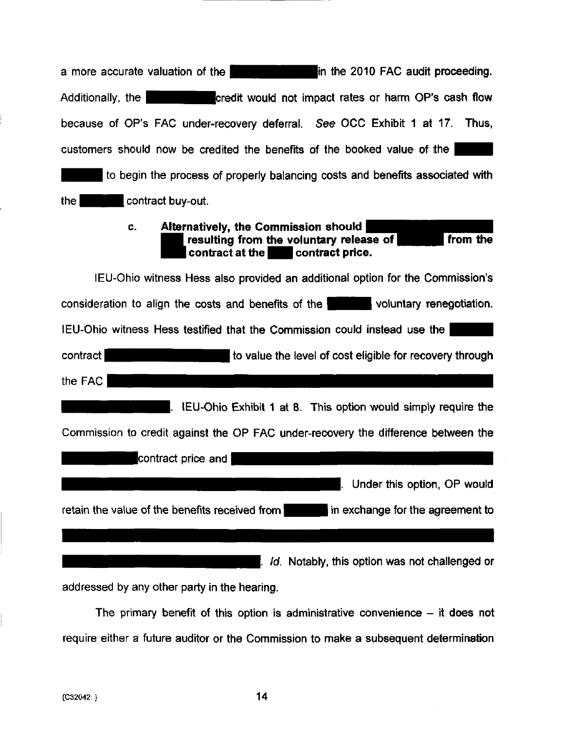| in the 2010 FAC audit proceeding.<br>a more accurate valuation of the                                                                |
|--------------------------------------------------------------------------------------------------------------------------------------|
| credit would not impact rates or harm OP's cash flow<br>Additionally, the                                                            |
| because of OP's FAC under-recovery deferral. See OCC Exhibit 1 at 17. Thus,                                                          |
| customers should now be credited the benefits of the booked value of the                                                             |
| to begin the process of properly balancing costs and benefits associated with                                                        |
| contract buy-out.<br>the                                                                                                             |
| Alternatively, the Commission should<br>C.<br>from the<br>resulting from the voluntary release of<br>contract at the contract price. |
| IEU-Ohio witness Hess also provided an additional option for the Commission's                                                        |
| consideration to align the costs and benefits of the voluntary renegotiation.                                                        |
| IEU-Ohio witness Hess testified that the Commission could instead use the                                                            |
| contract<br>to value the level of cost eligible for recovery through                                                                 |
| the FAC                                                                                                                              |
| IEU-Ohio Exhibit 1 at 8. This option would simply require the                                                                        |
| Commission to credit against the OP FAC under-recovery the difference between the                                                    |
| contract price and                                                                                                                   |
| Under this option, OP would                                                                                                          |
| retain the value of the benefits received from<br>in exchange for the agreement to                                                   |
|                                                                                                                                      |
| Id. Notably, this option was not challenged or                                                                                       |
| addressed by any other party in the hearing.                                                                                         |

The primary benefit of this option is administrative convenience  $-$  it does not require either a future auditor or the Commission to make a subsequent determination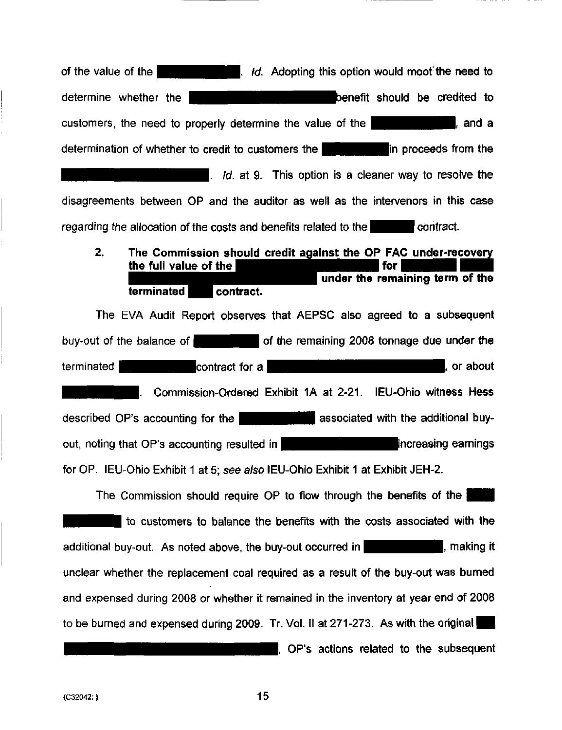of the value of the **HHHHHMH** . Id. Adopting this option would moot the need to determine whether the **HIM<sup>I</sup>'' in the sound benefit** should be credited to customers, the need to properly determine the value of the  $\Box$   $\Box$   $\Box$  and a determination of whether to credit to customers the **HHHUI HUI n** proceeds from the If  $Id$  at 9. This option is a cleaner way to resolve the disagreements between OP and the auditor as well as the intervenors in this case regarding the allocation of the costs and benefits related to the  $\blacksquare$  contract.

 $2<sub>-</sub>$ The Commission should credit against the OP FAC under-recovery the full value of the under the remaining term of the terminated **b** contract.

The EVA Audit Report observes that AEPSC also agreed to a subsequent buy-out of the balance of  $\blacksquare$  of the remaining 2008 tonnage due under the terminated  $\blacksquare$  contract for a  $\blacksquare$ Commission-Ordered Exhibit 1A at 2-21. lEU-Ohio witness Hess described OP's accounting for the **INHHI in associated with the additional buy**out, noting that OP's accounting resulted in |^^^|^^^^^|increasin g earnings for OP. lEU-Ohio Exhibit 1 at 5; see also lEU-Ohio Exhibit 1 at Exhibit JEH-2.

The Commission should require OP to flow through the benefits of the  $\frac{1}{2}$ to customers to balance the benefits with the costs associated with the additional buy-out. As noted above, the buy-out occurred in  $\blacksquare$ , making it unclear whether the replacement coal required as a result of the buy-out was burned and expensed during 2008 or whether it remained in the inventory at year end of 2008 to be burned and expensed during 2009. Tr. Vol. II at 271-273. As with the original

L OP'S actions related to the subsequent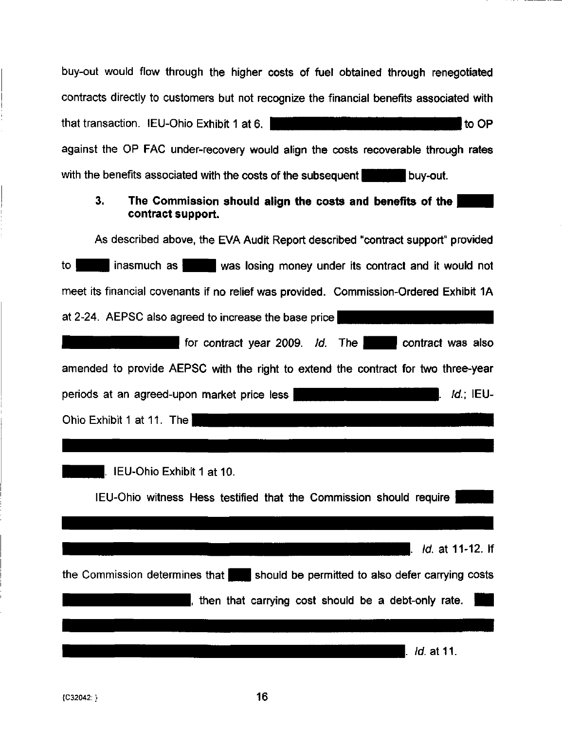| buy-out would flow through the higher costs of fuel obtained through renegotiated        |
|------------------------------------------------------------------------------------------|
| contracts directly to customers but not recognize the financial benefits associated with |
| that transaction. IEU-Ohio Exhibit 1 at 6.<br>to OP                                      |
| against the OP FAC under-recovery would align the costs recoverable through rates        |
| with the benefits associated with the costs of the subsequent buy-out.                   |
| 3.<br>The Commission should align the costs and benefits of the<br>contract support.     |
| As described above, the EVA Audit Report described "contract support" provided           |
| inasmuch as was losing money under its contract and it would not<br>to I                 |
| meet its financial covenants if no relief was provided. Commission-Ordered Exhibit 1A    |
| at 2-24. AEPSC also agreed to increase the base price                                    |
| for contract year 2009. Id. The contract was also                                        |
| amended to provide AEPSC with the right to extend the contract for two three-year        |
| <i>Id</i> : IEU-<br>periods at an agreed-upon market price less<br>L                     |
| Ohio Exhibit 1 at 11. The                                                                |
|                                                                                          |
| IEU-Ohio Exhibit 1 at 10.                                                                |
| IEU-Ohio witness Hess testified that the Commission should require                       |
|                                                                                          |
| <i>Id.</i> at 11-12. If                                                                  |
| the Commission determines that should be permitted to also defer carrying costs          |
| then that carrying cost should be a debt-only rate.                                      |
|                                                                                          |
| <i>ld.</i> at 11.                                                                        |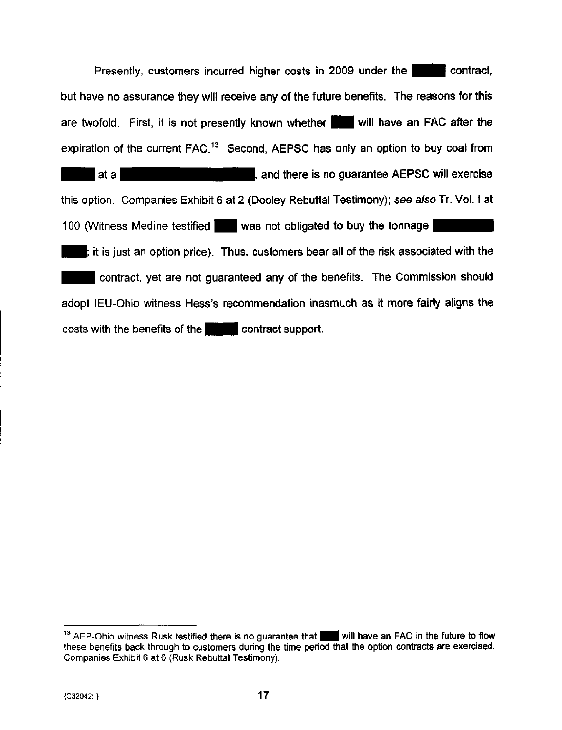Presently, customers incurred higher costs in 2009 under the but have no assurance they will receive any of the future benefits. The reasons for this are twofold. First, it is not presently known whether  $\blacksquare$  will have an FAC after the expiration of the current  $FAC<sup>13</sup>$  Second, AEPSC has only an option to buy coal from I at a **I all interest is no guarantee AEPSC will exercise** this option. Companies Exhibit 6 at 2 (Dooley Rebuttal Testimony); see also Tr. Vol. I at 100 (Witness Medine testified  $\blacksquare$  was not obligated to buy the tonnage  $\blacksquare$  $\blacksquare$ ; it is just an option price). Thus, customers bear all of the risk associated with the contract, yet are not guaranteed any of the benefits. The Commission should adopt lEU-Ohio witness Hess's recommendation inasmuch as it more fairly aligns the costs with the benefits of the **H** contract support.

 $13$  AEP-Ohio witness Rusk testified there is no guarantee that will have an FAC in the future to flow these benefits back through to customers during the time period that the option contracts are exercised. Companies Exhibit 6 at 6 (Rusk Rebuttal Testimony).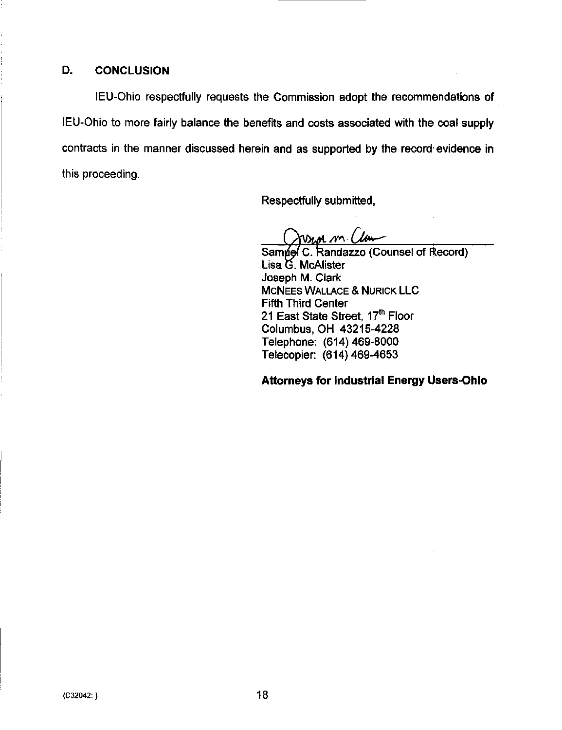### D. CONCLUSION

lEU-Ohio respectfully requests the Commission adopt the recommendations of lEU-Ohio to more fairiy balance the benefits and costs associated with the coal supply contracts in the manner discussed herein and as supported by the record evidence in this proceeding.

Respectfully submitted,

 $M$   $M<sub>o</sub>$ 

Samuel C. Randazzo (Counsel of Record) Lisa G. McAlister Joseph M. Clark **MCNEES WALLACE & NURICK LLC** Fifth Third Center 21 East State Street, 17<sup>th</sup> Floor Columbus, OH 43215-4228 Telephone: (614) 469-8000 Telecopier: (614) 469-4653

Attorneys for Industrial Energy Users-Ohio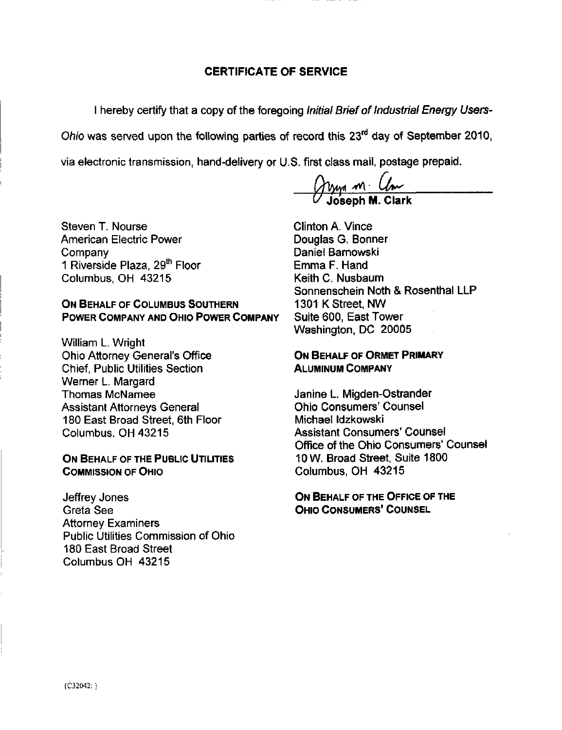## CERTIFICATE OF SERVICE

1 hereby certify that a copy of the foregoing Initial Brief of Industrial Energy Users-

Ohio was served upon the following parties of record this  $23<sup>rd</sup>$  day of September 2010,

via electronic transmission, hand-delivery or U.S. first class mail, postage prepaid.

 $\vee$  Joseph M. Clark

Steven T. Nourse American Electric Power Company 1 Riverside Plaza, 29<sup>th</sup> Floor Columbus, OH 43215

## ON BEHALF OF COLUMBUS SOUTHERN POWER COMPANY AND OHIO POWER COMPANY

William L. Wright Ohio Attorney General's Office Chief, Public Utilities Section Werner L. Margard Thomas McNamee Assistant Attorneys General 180 East Broad Street, 6th Floor Columbus. OH 43215

#### ON BEHALF OF THE PUBLIC UTILITIES COMMISSION OF OHIO

Jeffrey Jones Greta See Attorney Examiners Public Utilities Commission of Ohio 180 East Broad Street Columbus OH 43215

Clinton A. Vince Douglas G. Bonner Daniel Bamowski Emma F. Hand Keith C. Nusbaum Sonnenschein Noth & Rosenthal LLP 1301 K Street, NW Suite 600, East Tower Washington, DC 20005

#### ON BEHALF OF ORMET PRIMARY ALUMINUM COMPANY

Janine L. Migden-Ostrander Ohio Consumers' Counsel Michael Idzkowski Assistant Consumers' Counsel Office of the Ohio Consumers' Counsel 10W. Broad Street, Suite 1800 Columbus, OH 43215

ON BEHALF OF THE OFFICE OF THE OHIO CONSUMERS' COUNSEL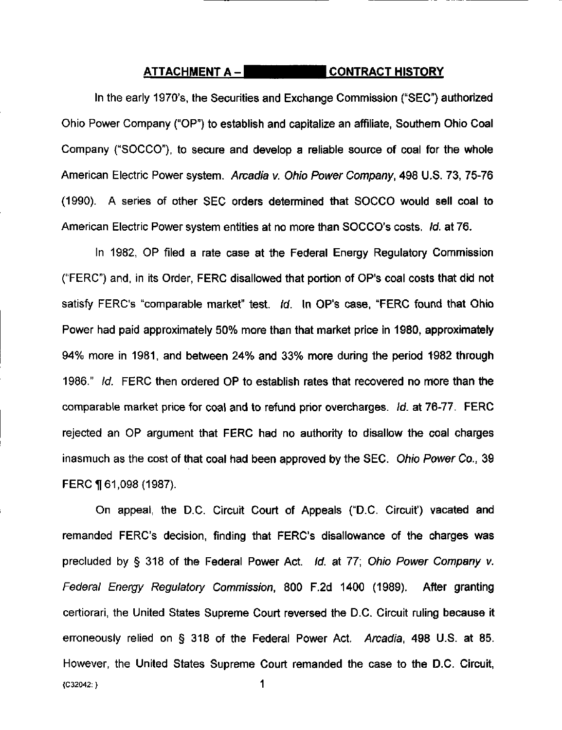### ATTACHMENT A – **EXAMPLE ATTACHMENT A** –

In the early 1970's, the Securities and Exchange Commission ("SEC") authorized Ohio Power Company ("OP") to establish and capitalize an affiliate. Southern Ohio Coal Company ("SOCCO"), to secure and develop a reliable source of coal for the whole American Electric Power system. Arcadia v. Ohio Power Company, 498 U.S. 73, 75-76 (1990). A series of other SEC orders determined that SOCCO would sell coal to American Electric Power system entities at no more than SOCCO's costs. Id. at 76.

In 1982, OP filed a rate case at the Federal Energy Regulatory Commission ("FERC") and. in its Order, FERC disallowed that portion of OP's coal costs that did not satisfy FERC's "comparable market" test. Id. In OP's case, "FERC found that Ohio Power had paid approximately 50% more than that market price in 1980, approximately 94% more in 1981, and between 24% and 33% more during the period 1982 through 1986." Id. FERC then ordered OP to establish rates that recovered no more than the comparable market price for coal and to refund prior overcharges. Id. at 76-77. FERC rejected an OP argument that FERC had no authority to disallow the coal charges inasmuch as the cost of that coal had been approved by the SEC. Ohio Power Co., 39 FERC 161,098 (1987).

On appeal, the D.C. Circuit Court of Appeals ("D.C. Circuit') vacated and remanded FERC's decision, finding that FERC's disallowance of the charges was precluded by § 318 of the Federal Power Act. Id. at 77; Ohio Power Company v. Federal Energy Regulatory Commission, 800 F.2d 1400 (1989). After granting certiorari, the United States Supreme Court reversed the D.C. Circuit ruling because it erroneously relied on § 318 of the Federal Power Act. Arcadia, 498 U.S. at 85. However, the United States Supreme Court remanded the case to the D.C. Circuit, {C32042;} 1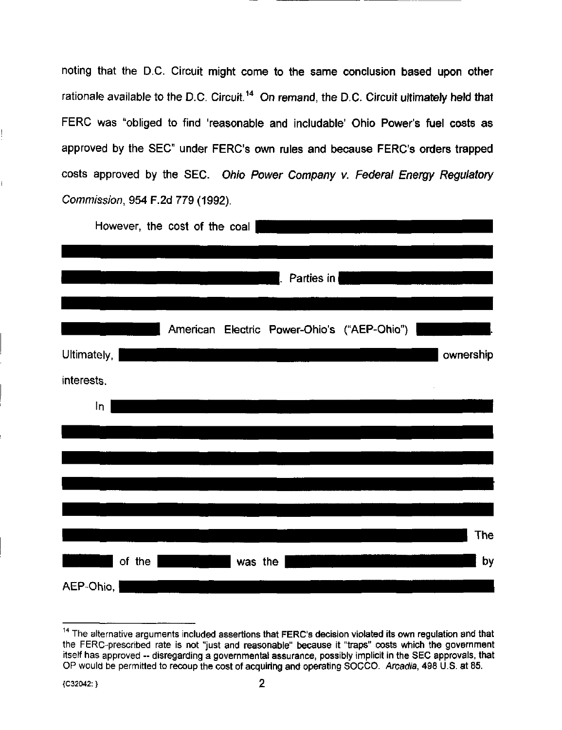noting that the D.C. Circuit might come to the same conclusion based upon other rationale available to the D.C. Circuit.<sup>14</sup> On remand, the D.C. Circuit ultimately held that FERC was "obliged to find 'reasonable and includable' Ohio Power's fuel costs as approved by the SEC" under FERC's own rules and because FERC's orders trapped costs approved by the SEC. Ohio Power Company v. Federal Energy Regulatory Commission, 954 F.2d 779 (1992).

|            |             |        | However, the cost of the coal |         |            |                                             |            |
|------------|-------------|--------|-------------------------------|---------|------------|---------------------------------------------|------------|
|            |             |        |                               |         |            |                                             |            |
|            |             |        |                               |         | Parties in |                                             |            |
|            |             |        |                               |         |            |                                             |            |
|            |             |        |                               |         |            | American Electric Power-Ohio's ("AEP-Ohio") |            |
|            | Ultimately, |        |                               |         |            |                                             | ownership  |
| interests. |             |        |                               |         |            |                                             |            |
|            | In          |        |                               |         |            |                                             |            |
|            |             |        |                               |         |            |                                             |            |
|            |             |        |                               |         |            |                                             |            |
|            |             |        |                               |         |            |                                             |            |
|            |             |        |                               |         |            |                                             |            |
|            |             |        |                               |         |            |                                             | <b>The</b> |
|            |             | of the |                               | was the |            |                                             | by         |
|            | AEP-Ohio,   |        |                               |         |            |                                             |            |

 $14$  The alternative arguments included assertions that FERC's decision violated its own regulation and that the FERC-prescribed rate is not "just and reasonable" because it "traps" costs which the government itself has approved -- disregarding a governmental assurance, possibly implicit in the SEC approvals, that OP would be permitted to recoup the cost of acquiring and operating SOCCO. Arcadia, 498 U.S. at 85.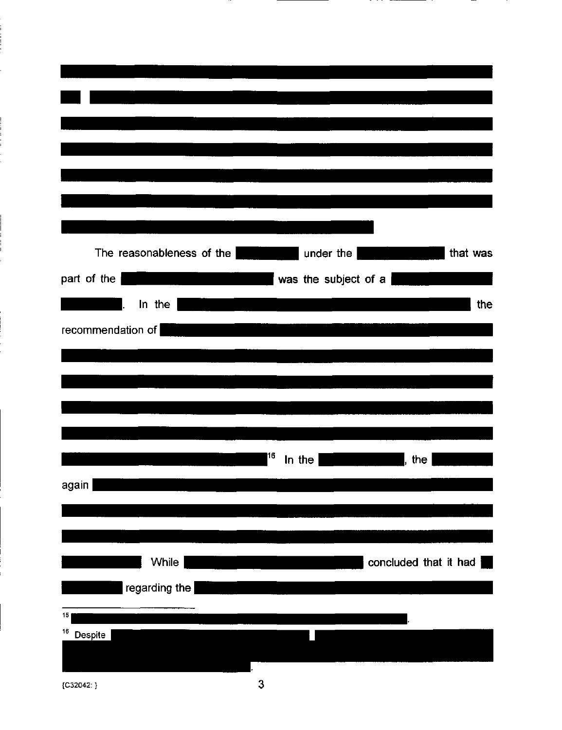| The reasonableness of the |    | under the            |                       | that was |
|---------------------------|----|----------------------|-----------------------|----------|
| part of the               |    | was the subject of a |                       |          |
| In the                    |    |                      |                       | the      |
|                           |    |                      |                       |          |
| recommendation of         |    |                      |                       |          |
|                           |    |                      |                       |          |
|                           |    |                      |                       |          |
|                           |    |                      |                       |          |
|                           |    |                      |                       |          |
|                           | 16 |                      |                       |          |
|                           |    | In the               | the                   |          |
| again                     |    |                      |                       |          |
|                           |    |                      |                       |          |
|                           |    |                      |                       |          |
| <b>While</b>              |    |                      | concluded that it had |          |
|                           |    |                      |                       |          |
| $ $ regarding the $ $     |    |                      |                       |          |
| 15                        |    |                      |                       |          |
| 16<br>Despite             |    |                      |                       |          |
|                           |    |                      |                       |          |
|                           |    |                      |                       |          |

{C32042: }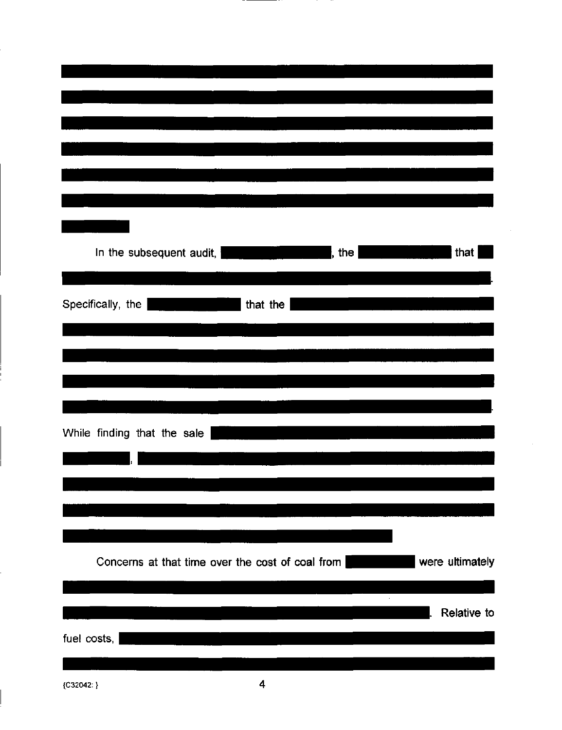| that<br>In the subsequent audit,  <br>, the                                                                                        |
|------------------------------------------------------------------------------------------------------------------------------------|
|                                                                                                                                    |
|                                                                                                                                    |
| Specifically, the<br>that the                                                                                                      |
|                                                                                                                                    |
|                                                                                                                                    |
|                                                                                                                                    |
|                                                                                                                                    |
|                                                                                                                                    |
|                                                                                                                                    |
|                                                                                                                                    |
| While finding that the sale                                                                                                        |
|                                                                                                                                    |
|                                                                                                                                    |
|                                                                                                                                    |
|                                                                                                                                    |
|                                                                                                                                    |
|                                                                                                                                    |
|                                                                                                                                    |
| were ultimately<br>Concerns at that time over the cost of coal from                                                                |
|                                                                                                                                    |
|                                                                                                                                    |
|                                                                                                                                    |
| Relative to<br><u> 1980 - Jan Barat de Carlos de la contrada de la contrada de la contrada de la contrada de la contrada de la</u> |
| fuel costs,                                                                                                                        |
|                                                                                                                                    |
|                                                                                                                                    |

 $\bar{z}$